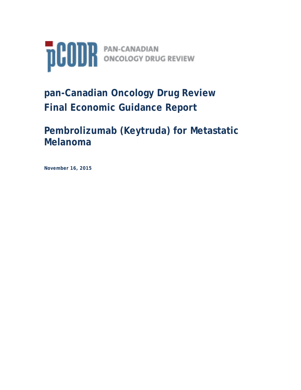

# **pan-Canadian Oncology Drug Review Final Economic Guidance Report**

## **Pembrolizumab (Keytruda) for Metastatic Melanoma**

**November 16, 2015**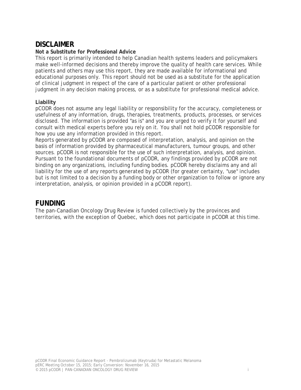## **DISCLAIMER**

#### **Not a Substitute for Professional Advice**

This report is primarily intended to help Canadian health systems leaders and policymakers make well-informed decisions and thereby improve the quality of health care services. While patients and others may use this report, they are made available for informational and educational purposes only. This report should not be used as a substitute for the application of clinical judgment in respect of the care of a particular patient or other professional judgment in any decision making process, or as a substitute for professional medical advice.

#### **Liability**

pCODR does not assume any legal liability or responsibility for the accuracy, completeness or usefulness of any information, drugs, therapies, treatments, products, processes, or services disclosed. The information is provided "as is" and you are urged to verify it for yourself and consult with medical experts before you rely on it. You shall not hold pCODR responsible for how you use any information provided in this report.

Reports generated by pCODR are composed of interpretation, analysis, and opinion on the basis of information provided by pharmaceutical manufacturers, tumour groups, and other sources. pCODR is not responsible for the use of such interpretation, analysis, and opinion. Pursuant to the foundational documents of pCODR, any findings provided by pCODR are not binding on any organizations, including funding bodies. pCODR hereby disclaims any and all liability for the use of any reports generated by pCODR (for greater certainty, "use" includes but is not limited to a decision by a funding body or other organization to follow or ignore any interpretation, analysis, or opinion provided in a pCODR report).

## **FUNDING**

The pan-Canadian Oncology Drug Review is funded collectively by the provinces and territories, with the exception of Quebec, which does not participate in pCODR at this time.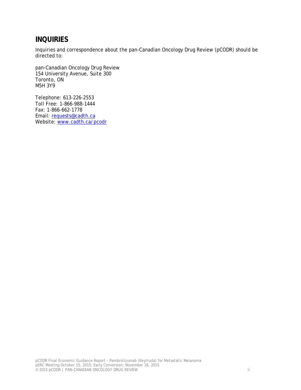## **INQUIRIES**

Inquiries and correspondence about the pan-Canadian Oncology Drug Review (pCODR) should be directed to:

pan-Canadian Oncology Drug Review 154 University Avenue, Suite 300 Toronto, ON M5H 3Y9

Telephone: 613-226-2553 Toll Free: 1-866-988-1444 Fax: 1-866-662-1778 Email: requests@cadth.ca Website: www.cadth.ca/pcodr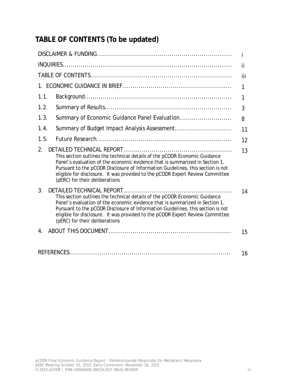## **TABLE OF CONTENTS (To be updated)**

|                                                                                                                                                                                                                                                                                                                                                                                                     | Ť   |
|-----------------------------------------------------------------------------------------------------------------------------------------------------------------------------------------------------------------------------------------------------------------------------------------------------------------------------------------------------------------------------------------------------|-----|
|                                                                                                                                                                                                                                                                                                                                                                                                     | ji  |
|                                                                                                                                                                                                                                                                                                                                                                                                     | iii |
|                                                                                                                                                                                                                                                                                                                                                                                                     | 1   |
| 1.1.                                                                                                                                                                                                                                                                                                                                                                                                | 1   |
| 1.2.                                                                                                                                                                                                                                                                                                                                                                                                | 3   |
| Summary of Economic Guidance Panel Evaluation<br>1.3.                                                                                                                                                                                                                                                                                                                                               | 8   |
| 1.4.<br>Summary of Budget Impact Analysis Assessment                                                                                                                                                                                                                                                                                                                                                | 11  |
| 1.5.                                                                                                                                                                                                                                                                                                                                                                                                | 12  |
| 2.<br>This section outlines the technical details of the pCODR Economic Guidance<br>Panel's evaluation of the economic evidence that is summarized in Section 1.<br>Pursuant to the pCODR Disclosure of Information Guidelines, this section is not<br>eligible for disclosure. It was provided to the pCODR Expert Review Committee<br>(pERC) for their deliberations                              | 13  |
| 3.<br>DETAILED TECHNICAL REPORT<br>This section outlines the technical details of the pCODR Economic Guidance<br>Panel's evaluation of the economic evidence that is summarized in Section 1.<br>Pursuant to the pCODR Disclosure of Information Guidelines, this section is not<br>eligible for disclosure. It was provided to the pCODR Expert Review Committee<br>(pERC) for their deliberations | 14  |
| $4_{\scriptscriptstyle{\perp}}$                                                                                                                                                                                                                                                                                                                                                                     | 15  |
|                                                                                                                                                                                                                                                                                                                                                                                                     | 16  |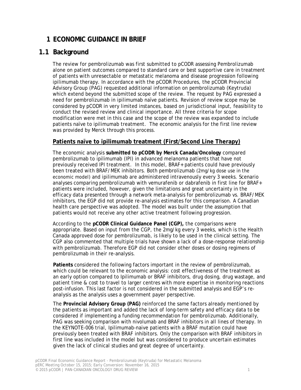## **1 ECONOMIC GUIDANCE IN BRIEF**

## **1.1 Background**

The review for pembrolizumab was first submitted to pCODR assessing Pembrolizumab alone on patient outcomes compared to standard care or best supportive care in treatment of patients with unresectable or metastatic melanoma and disease progression following ipilimumab therapy. In accordance with the pCODR Procedures, the pCODR Provincial Advisory Group (PAG) requested additional information on pembrolizumab (Keytruda) which extend beyond the submitted scope of the review. The request by PAG expressed a need for pembrolizumab in ipilimumab naïve patients. Revision of review scope may be considered by pCODR in very limited instances, based on jurisdictional input, feasibility to conduct the revised review and clinical importance. All three criteria for scope modification were met in this case and the scope of the review was expanded to include patients naïve to ipilimumab treatment. The economic analysis for the first line review was provided by Merck through this process.

#### **Patients naïve to ipilimumab treatment (First/Second Line Therapy)**

The economic analysis **submitted to pCODR by Merck Canada/Oncology** compared pembrolizumab to ipilimumab (IPI) in advanced melanoma patients that have not previously received IPI treatment. In this model, BRAF+ patients could have previously been treated with BRAF/MEK inhibitors. Both pembrolizumab (2mg/kg dose use in the economic model) and ipilimumab are administered intravenously every 3 weeks. Scenario analyses comparing pembrolizumab with vemurafenib or dabrafenib in first line for BRAF+ patients were included, however, given the limitations and great uncertainty in the efficacy data presented through a network meta-analysis for pembrolizumab vs. BRAF/MEK inhibitors, the EGP did not provide re-analysis estimates for this comparison. A Canadian health care perspective was adopted. The model was built under the assumption that patients would not receive any other active treatment following progression.

According to the **pCODR Clinical Guidance Panel (CGP),** the comparisons were appropriate. Based on input from the CGP, the 2mg/kg every 3 weeks, which is the Health Canada approved dose for pembrolizumab, is likely to be used in the clinical setting. The CGP also commented that multiple trials have shown a lack of a dose-response relationship with pembrolizumab. Therefore EGP did not consider other doses or dosing regimens of pembrolizumab in their re-analysis.

**Patients** considered the following factors important in the review of pembrolizumab, which could be relevant to the economic analysis: cost effectiveness of the treatment as an early option compared to Ipilimumab or BRAF inhibitors, drug dosing, drug wastage, and patient time & cost to travel to larger centres with more expertise in monitoring reactions post-infusion. This last factor is not considered in the submitted analysis and EGP's reanalysis as the analysis uses a government payer perspective.

The **Provincial Advisory Group (PAG)** reinforced the same factors already mentioned by the patients as important and added the lack of long-term safety and efficacy data to be considered if implementing a funding recommendation for pembrolizumab. Additionally, PAG was seeking comparison with nivolumab and BRAF inhibitors in all lines of therapy. In the KEYNOTE-006 trial, Ipilimumab-naive patients with a BRAF mutation could have previously been treated with BRAF inhibitors. Only the comparison with BRAF inhibitors in first line was included in the model but was considered to produce uncertain estimates given the lack of clinical studies and great degree of uncertainty.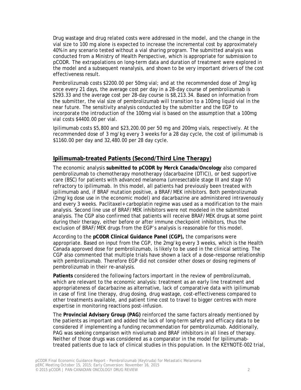Drug wastage and drug related costs were addressed in the model, and the change in the vial size to 100 mg alone is expected to increase the incremental cost by approximately 40% in any scenario tested without a vial sharing program. The submitted analysis was conducted from a Ministry of Health Perspective, which is appropriate for submission to pCODR. The extrapolations on long-term data and duration of treatment were explored in the model and a subsequent reanalysis, and shown to be very important drivers of the cost effectiveness result.

Pembrolizumab costs \$2200.00 per 50mg vial; and at the recommended dose of 2mg/kg once every 21 days, the average cost per day in a 28-day course of pembrolizumab is \$293.33 and the average cost per 28-day course is \$8,213.34. Based on information from the submitter, the vial size of pembrolizumab will transition to a 100mg liquid vial in the near future. The sensitivity analysis conducted by the submitter and the EGP to incorporate the introduction of the 100mg vial is based on the assumption that a 100mg vial costs \$4400.00 per vial.

Ipilimumab costs \$5,800 and \$23,200.00 per 50 mg and 200mg vials, respectively. At the recommended dose of 3 mg/kg every 3 weeks for a 28 day cycle, the cost of ipilimumab is \$1160.00 per day and 32,480.00 per 28 day cycle.

#### **Ipilimumab-treated Patients (Second/Third Line Therapy)**

The economic analysis **submitted to pCODR by Merck Canada/Oncology** also compared pembrolizumab to chemotherapy monotherapy (dacarbazine (DTIC)), or best supportive care (BSC) for patients with advanced melanoma (unresectable stage III and stage IV) refractory to ipilimumab. In this model, all patients had previously been treated with ipilimumab and, if BRAF mutation positive, a BRAF/MEK inhibitors. Both pembrolizumab (2mg/kg dose use in the economic model) and dacarbazine are administered intravenously and every 3 weeks. Paclitaxel+ carboplatin regime was used as a modification to the main analysis. Second line use of BRAF/MEK inhibitors were not modeled in the submitted analysis. The CGP also confirmed that patients will receive BRAF/MEK drugs at some point during their therapy, either before or after immune checkpoint inhibitors, thus the exclusion of BRAF/MEK drugs from the EGP's analysis is reasonable for this model.

According to the **pCODR Clinical Guidance Panel (CGP),** the comparisons were appropriate. Based on input from the CGP, the 2mg/kg every 3 weeks, which is the Health Canada approved dose for pembrolizumab, is likely to be used in the clinical setting. The CGP also commented that multiple trials have shown a lack of a dose-response relationship with pembrolizumab. Therefore EGP did not consider other doses or dosing regimens of pembrolizumab in their re-analysis.

**Patients** considered the following factors important in the review of pembrolizumab, which are relevant to the economic analysis: treatment as an early line treatment and appropriateness of dacarbazine as alternative, lack of comparative data with ipilimumab in case of first line therapy, drug dosing, drug wastage, cost-effectiveness compared to other treatments available, and patient time cost to travel to bigger centres with more expertise in monitoring reactions post-infusion.

The **Provincial Advisory Group (PAG)** reinforced the same factors already mentioned by the patients as important and added the lack of long-term safety and efficacy data to be considered if implementing a funding recommendation for pembrolizumab. Additionally, PAG was seeking comparison with nivolumab and BRAF inhibitors in all lines of therapy. Neither of those drugs was considered as a comparator in the model for Ipilimumabtreated patients due to lack of clinical studies in this population. In the KEYNOTE-002 trial,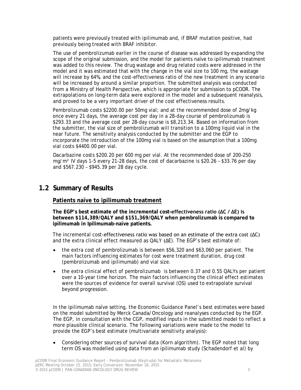patients were previously treated with ipilimumab and, if BRAF mutation positive, had previously being treated with BRAF inhibitor.

The use of pembrolizumab earlier in the course of disease was addressed by expanding the scope of the original submission, and the model for patients naïve to ipilimumab treatment was added to this review. The drug wastage and drug related costs were addressed in the model and it was estimated that with the change in the vial size to 100 mg, the wastage will increase by 64%, and the cost-effectiveness ratio of the new treatment in any scenario will be increased by around a similar proportion. The submitted analysis was conducted from a Ministry of Health Perspective, which is appropriate for submission to pCODR. The extrapolations on long-term data were explored in the model and a subsequent reanalysis, and proved to be a very important driver of the cost effectiveness results.

Pembrolizumab costs \$2200.00 per 50mg vial; and at the recommended dose of 2mg/kg once every 21 days, the average cost per day in a 28-day course of pembrolizumab is \$293.33 and the average cost per 28-day course is \$8,213.34. Based on information from the submitter, the vial size of pembrolizumab will transition to a 100mg liquid vial in the near future. The sensitivity analysis conducted by the submitter and the EGP to incorporate the introduction of the 100mg vial is based on the assumption that a 100mg vial costs \$4400.00 per vial.

Dacarbazine costs \$200.20 per 600 mg per vial. At the recommended dose of 200–250 mg/m² IV days 1-5 every 21-28 days, the cost of dacarbazine is \$20.26 – \$33.76 per day and \$567.230 – \$945.39 per 28 day cycle.

## **1.2 Summary of Results**

#### **Patients naïve to ipilimumab treatment**

**The EGP's best estimate of the incremental cost-effectiveness ratio (ΔC / ΔE) is between \$114,389/QALY and \$151,369/QALY when pembrolizumab is compared to ipilimumab in Ipilimumab-naïve patients.**

The incremental cost-effectiveness ratio was based on an estimate of the extra cost (ΔC) and the extra clinical effect measured as QALY (ΔE). The EGP's best estimate of:

- the extra cost of pembrolizumab is between \$56,320 and \$63,060 per patient. The main factors influencing estimates for cost were treatment duration, drug cost (pembrolizumab and ipilimumab) and vial size.
- the extra clinical effect of pembrolizumab is between 0.37 and 0.55 QALYs per patient over a 10-year time horizon. The main factors influencing the clinical effect estimates were the sources of evidence for overall survival (OS) used to extrapolate survival beyond progression.

In the ipilimumab naïve setting, the Economic Guidance Panel's best estimates were based on the model submitted by Merck Canada/Oncology and reanalyses conducted by the EGP. The EGP, in consultation with the CGP, modified inputs in the submitted model to reflect a more plausible clinical scenario. The following variations were made to the model to provide the EGP's best estimate (multivariate sensitivity analysis):

• Considering other sources of survival data (Korn algorithm). The EGP noted that long term OS was modelled using data from an ipilimumab study (Schadendorf et al) by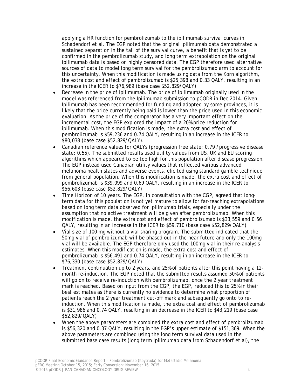applying a HR function for pembrolizumab to the ipilimumab survival curves in Schadendorf et al. The EGP noted that the original ipilimumab data demonstrated a sustained separation in the tail of the survival curve, a benefit that is yet to be confirmed in the pembrolizumab study, and long term extrapolation on the original ipilimumab data is based on highly censored data. The EGP therefore used alternative sources of data to model long term survival for the pembrolizumab arm to account for this uncertainty. When this modification is made using data from the Korn algorithm, the extra cost and effect of pembrolizumab is \$25,398 and 0.33 QALY, resulting in an increase in the ICER to \$76,989 (base case \$52,829/QALY)

- Decrease in the price of ipilimumab. The price of ipilimumab originally used in the model was referenced from the Ipilimumab submission to pCODR in Dec 2014. Given Ipilimumab has been recommended for funding and adopted by some provinces, it is likely that the price currently being paid is lower than the price used in this economic evaluation. As the price of the comparator has a very important effect on the incremental cost, the EGP explored the impact of a 20% price reduction for ipilimumab. When this modification is made, the extra cost and effect of pembrolizumab is \$59,236 and 0.74 QALY, resulting in an increase in the ICER to \$80,038 (base case \$52,829/QALY).
- Canadian reference values for QALYs (progression free state: 0.79 /progressive disease state: 0.55). The submitted results used utility values from US, UK and EU scoring algorithms which appeared to be too high for this population after disease progression. The EGP instead used Canadian utility values that reflected various advanced melanoma health states and adverse events, elicited using standard gamble technique from general population. When this modification is made, the extra cost and effect of pembrolizumab is \$39,099 and 0.69 QALY, resulting in an increase in the ICER to \$56,603 (base case \$52,829/QALY)
- Time Horizon of 10 years. The EGP, in consultation with the CGP, agreed that longterm data for this population is not yet mature to allow for far-reaching extrapolations based on long term data observed for ipilimumab trials, especially under the assumption that no active treatment will be given after pembrolizumab. When this modification is made, the extra cost and effect of pembrolizumab is \$33,559 and 0.56 QALY, resulting in an increase in the ICER to \$59,710 (base case \$52,829/QALY)
- Vial size of 100 mg without a vial sharing program. The submitted indicated that the 50mg vial of pembrolizumab will be phased out in the near future and only the 100mg vial will be available. The EGP therefore only used the 100mg vial in their re-analysis estimates. When this modification is made, the extra cost and effect of pembrolizumab is \$56,491 and 0.74 QALY, resulting in an increase in the ICER to \$76,330 (base case \$52,829/QALY)
- Treatment continuation up to 2 years, and 25% of patients after this point having a 12 month re-induction. The EGP noted that the submitted results assumed 50% of patients will go on to receive re-induction with pembrolizumab, once the 2 year treatment mark is reached. Based on input from the CGP, the EGP, reduced this to 25% in their best estimates as there is currently no evidence to determine what proportion of patients reach the 2 year treatment cut-off mark and subsequently go onto to reinduction. When this modification is made, the extra cost and effect of pembrolizumab is \$31,986 and 0.74 QALY, resulting in an decrease in the ICER to \$43,219 (base case \$52,829/QALY)
- When the above parameters are combined the extra cost and effect of pembrolizumab is \$56,320 and 0.37 QALY, resulting in the EGP's upper estimate of \$151,369. When the above parameters are combined using the long term survival data used in the submitted base case results (long term ipilimumab data from Schadendorf et al), the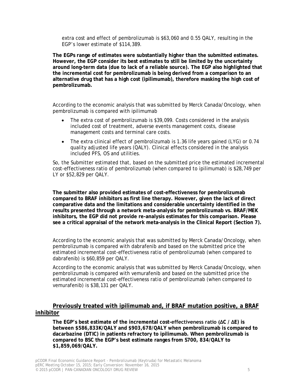extra cost and effect of pembrolizumab is \$63,060 and 0.55 QALY, resulting in the EGP's lower estimate of \$114,389.

**The EGPs range of estimates were substantially higher than the submitted estimates. However, the EGP consider its best estimates to still be limited by the uncertainty around long-term data (due to lack of a reliable source). The EGP also highlighted that the incremental cost for pembrolizumab is being derived from a comparison to an alternative drug that has a high cost (ipilimumab), therefore masking the high cost of pembrolizumab.** 

According to the economic analysis that was submitted by Merck Canada/Oncology, when pembrolizumab is compared with ipilimumab

- The extra cost of pembrolizumab is \$39,099. Costs considered in the analysis included cost of treatment, adverse events management costs, disease management costs and terminal care costs.
- The extra clinical effect of pembrolizumab is 1.36 life years gained (LYG) or 0.74 quality adjusted life years (QALY). Clinical effects considered in the analysis included PFS, OS and utilities.

So, the Submitter estimated that, based on the submitted price the estimated incremental cost-effectiveness ratio of pembrolizumab (when compared to ipilimumab) is \$28,749 per LY or \$52,829 per QALY.

**The submitter also provided estimates of cost-effectiveness for pembrolizumab compared to BRAF inhibitors as first line therapy. However, given the lack of direct comparative data and the limitations and considerable uncertainty identified in the results presented through a network meta-analysis for pembrolizumab vs. BRAF/MEK inhibitors, the EGP did not provide re-analysis estimates for this comparison. Please see a critical appraisal of the network meta-analysis in the Clinical Report (Section 7).**

According to the economic analysis that was submitted by Merck Canada/Oncology, when pembrolizumab is compared with dabrafenib and based on the submitted price the estimated incremental cost-effectiveness ratio of pembrolizumab (when compared to dabrafenib) is \$60,859 per QALY.

According to the economic analysis that was submitted by Merck Canada/Oncology, when pembrolizumab is compared with vemurafenib and based on the submitted price the estimated incremental cost-effectiveness ratio of pembrolizumab (when compared to vemurafenib) is \$38,131 per QALY.

#### **Previously treated with ipilimumab and, if BRAF mutation positive, a BRAF inhibitor**

**The EGP's best estimate of the incremental cost-effectiveness ratio (ΔC / ΔE) is between \$586,833K/QALY and \$903,678/QALY when pembrolizumab is compared to dacarbazine (DTIC) in patients refractory to ipilimumab. When pembrolizumab is compared to BSC the EGP's best estimate ranges from S700, 834/QALY to \$1,859,069/QALY.**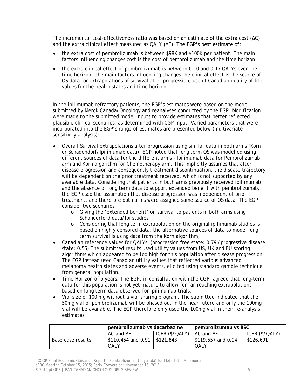The incremental cost-effectiveness ratio was based on an estimate of the extra cost (ΔC) and the extra clinical effect measured as  $QALY$  ( $\Delta E$ ). The EGP's best estimate of:

- the extra cost of pembrolizumab is between \$98K and \$100K per patient. The main factors influencing changes cost is the cost of pembrolizumab and the time horizon
- the extra clinical effect of pembrolizumab is between 0.10 and 0.17 QALYs over the time horizon. The main factors influencing changes the clinical effect is the source of OS data for extrapolations of survival after progression, use of Canadian quality of life values for the health states and time horizon.

In the ipilimumab refractory patients, the EGP's estimates were based on the model submitted by Merck Canada/Oncology and reanalyses conducted by the EGP. Modification were made to the submitted model inputs to provide estimates that better reflected plausible clinical scenarios, as determined with CGP input. Varied parameters that were incorporated into the EGP's range of estimates are presented below (multivariate sensitivity analysis):

- Overall Survival extrapolations after progression using similar data in both arms (Korn or Schadendorf/Ipilimumab data). EGP noted that long term OS was modelled using different sources of data for the different arms – Ipilimumab data for Pembrolizumab arm and Korn algorithm for Chemotherapy arm. This implicitly assumes that after disease progression and consequently treatment discontinuation, the disease trajectory will be dependent on the prior treatment received, which is not supported by any available data. Considering that patients in both arms previously received ipilimumab and the absence of long term data to support extended benefit with pembrolizumab, the EGP used the assumption that disease progression was independent of prior treatment, and therefore both arms were assigned same source of OS data. The EGP consider two scenarios:
	- o Giving the 'extended benefit' on survival to patients in both arms using Schanderford data/Ipi studies
	- o Considering that long term extrapolation on the original ipilimumab studies is based on highly censored data, the alternative sources of data to model long term survival is using data from the Korn algorithm,
- Canadian reference values for QALYs (progression free state: 0.79 / progressive disease state: 0.55) The submitted results used utility values from US, UK and EU scoring algorithms which appeared to be too high for this population after disease progression. The EGP instead used Canadian utility values that reflected various advanced melanoma health states and adverse events, elicited using standard gamble technique from general population.
- Time Horizon of 5 years. The EGP, in consultation with the CGP, agreed that long-term data for this population is not yet mature to allow for far-reaching extrapolations based on long term data observed for ipilimumab trials.
- Vial size of 100 mg without a vial sharing program. The submitted indicated that the 50mg vial of pembrolizumab will be phased out in the near future and only the 100mg vial will be available. The EGP therefore only used the 100mg vial in their re-analysis estimates.

|                   | pembrolizumab vs dacarbazine            |                | pembrolizumab vs BSC       |                |
|-------------------|-----------------------------------------|----------------|----------------------------|----------------|
|                   | $\Delta C$ and $\Delta E$               | ICER (\$/QALY) | $\Delta C$ and $\Delta E$  | ICER (\$/QALY) |
| Base case results | $$110,454$ and 0.91   \$121,843<br>QALY |                | \$119,557 and 0.94<br>OALY | \$126,691      |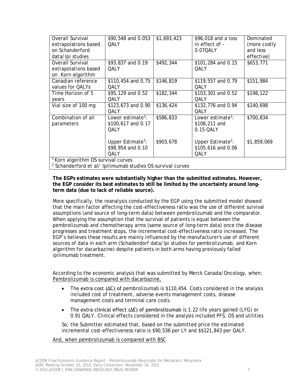| Overall Survival                                                       | \$90,548 and 0.053            | \$1,693,423 | \$96,018 and a loss           | Dominated     |  |  |  |
|------------------------------------------------------------------------|-------------------------------|-------------|-------------------------------|---------------|--|--|--|
| extrapolations based                                                   | QALY                          |             | in effect of -                | (more costly) |  |  |  |
| on Schanderford                                                        |                               |             | 0.07QALY                      | and less      |  |  |  |
| data/Ipi studies                                                       |                               |             |                               | effective)    |  |  |  |
| Overall Survival                                                       | \$93,837 and 0.19             | \$492,344   | \$101,284 and 0.15            | \$653,771     |  |  |  |
| extrapolations based                                                   | QALY                          |             | QALY                          |               |  |  |  |
| on Korn algorithm                                                      |                               |             |                               |               |  |  |  |
| Canadian reference                                                     | \$110,454 and 0.75            | \$146,819   | \$119,557 and 0.79            | \$151,984     |  |  |  |
| values for QALYs                                                       | QALY                          |             | QALY                          |               |  |  |  |
| Time Horizon of 5                                                      | \$95,129 and 0.52             | \$182,344   | \$103,301 and 0.52            | \$198,122     |  |  |  |
| years                                                                  | QALY                          |             | QALY                          |               |  |  |  |
| Vial size of 100 mg                                                    | \$123,673 and 0.90            | \$136,424   | \$132,776 and 0.94            | \$140,698     |  |  |  |
|                                                                        | QALY                          |             | <b>OALY</b>                   |               |  |  |  |
| Combination of all                                                     | Lower estimate <sup>1</sup> : | \$586, 833  | Lower estimate <sup>1</sup> : | \$700,834     |  |  |  |
| parameters                                                             | \$100,617 and 0.17            |             | \$108,211 and                 |               |  |  |  |
|                                                                        | QALY                          |             | 0.15 QALY                     |               |  |  |  |
|                                                                        |                               |             |                               |               |  |  |  |
|                                                                        | Upper Estimate <sup>2</sup> : | \$903,678   | Upper Estimate <sup>2</sup> : | \$1,859,069   |  |  |  |
|                                                                        | \$98,954 and 0.10             |             | \$105,616 and 0.06            |               |  |  |  |
|                                                                        | OALY                          |             | QALY                          |               |  |  |  |
| Korn algorithm OS survival curves                                      |                               |             |                               |               |  |  |  |
| <sup>2</sup> Schanderford et al/ Ipilimumab studies OS survival curves |                               |             |                               |               |  |  |  |

**The EGPs estimates were substantially higher than the submitted estimates. However, the EGP consider its best estimates to still be limited by the uncertainty around longterm data (due to lack of reliable source).** 

More specifically, the reanalysis conducted by the EGP using the submitted model showed that the main factor affecting the cost-effectiveness ratio was the use of different survival assumptions (and source of long-term data) between pembrolizumab and the comparator. When applying the assumption that the survival of patients is equal between the pembrolizumab and chemotherapy arms (same source of long-term data) once the disease progresses and treatment stops, the incremental cost-effectiveness ratio increased. The EGP's believes these results are mainly influenced by the manufacturer's use of different sources of data in each arm (Schadendorf data/Ipi studies for pembrolizumab, and Korn algorithm for dacarbazine) despite patients in both arms having previously failed ipilimumab treatment.

According to the economic analysis that was submitted by Merck Canada/Oncology, when: Pembrolizumab is compared with dacarbazine,

- The extra cost (ΔC) of pembrolizumab is \$110,454. Costs considered in the analysis included cost of treatment, adverse events management costs, disease management costs and terminal care costs.
- The extra clinical effect (∆E) of pembrolizumab is 1.22 life years gained (LYG) or 0.91 QALY. Clinical effects considered in the analysis included PFS, OS and utilities

So, the Submitter estimated that, based on the submitted price the estimated incremental cost-effectiveness ratio is \$90,536 per LY and \$\$121,843 per QALY.

#### And, when pembrolizumab is compared with BSC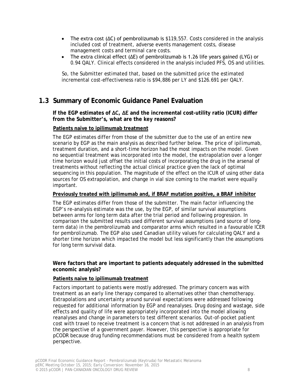- The extra cost (∆C) of pembrolizumab is \$119,557. Costs considered in the analysis included cost of treatment, adverse events management costs, disease management costs and terminal care costs.
- The extra clinical effect (∆E) of pembrolizumab is 1.26 life years gained (LYG) or 0.94 QALY. Clinical effects considered in the analysis included PFS, OS and utilities.

So, the Submitter estimated that, based on the submitted price the estimated incremental cost-effectiveness ratio is \$94,886 per LY and \$126.691 per QALY.

## **1.3 Summary of Economic Guidance Panel Evaluation**

**If the EGP estimates of ΔC, ΔE and the incremental cost-utility ratio (ICUR) differ from the Submitter's, what are the key reasons?** 

#### **Patients naïve to ipilimumab treatment**

The EGP estimates differ from those of the submitter due to the use of an entire new scenario by EGP as the main analysis as described further below. The price of ipilimumab, treatment duration, and a short-time horizon had the most impacts on the model. Given no sequential treatment was incorporated into the model, the extrapolation over a longer time horizon would just offset the initial costs of incorporating the drug in the arsenal of treatments without reflecting the actual clinical practice given the lack of optimal sequencing in this population. The magnitude of the effect on the ICUR of using other data sources for OS extrapolation, and change in vial size coming to the market were equally important.

#### **Previously treated with ipilimumab and, if BRAF mutation positive, a BRAF inhibitor**

The EGP estimates differ from those of the submitter. The main factor influencing the EGP's re-analysis estimate was the use, by the EGP, of similar survival assumptions between arms for long term data after the trial period and following progression. In comparison the submitted results used different survival assumptions (and source of longterm data) in the pembrolizumab and comparator arms which resulted in a favourable ICER for pembrolizumab. The EGP also used Canadian utility values for calculating QALY and a shorter time horizon which impacted the model but less significantly than the assumptions for long term survival data.

#### **Were factors that are important to patients adequately addressed in the submitted economic analysis?**

#### **Patients naïve to ipilimumab treatment**

Factors important to patients were mostly addressed. The primary concern was with treatment as an early line therapy compared to alternatives other than chemotherapy. Extrapolations and uncertainty around survival expectations were addressed following requested for additional information by EGP and reanalyses. Drug dosing and wastage, side effects and quality of life were appropriately incorporated into the model allowing reanalyses and change in parameters to test different scenarios. Out-of-pocket patient cost with travel to receive treatment is a concern that is not addressed in an analysis from the perspective of a government payer. However, this perspective is appropriate for pCODR because drug funding recommendations must be considered from a health system perspective.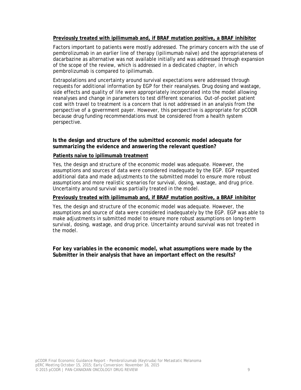#### **Previously treated with ipilimumab and, if BRAF mutation positive, a BRAF inhibitor**

Factors important to patients were mostly addressed. The primary concern with the use of pembrolizumab in an earlier line of therapy (ipilimumab naïve) and the appropriateness of dacarbazine as alternative was not available initially and was addressed through expansion of the scope of the review, which is addressed in a dedicated chapter, in which pembrolizumab is compared to ipilimumab.

Extrapolations and uncertainty around survival expectations were addressed through requests for additional information by EGP for their reanalyses. Drug dosing and wastage, side effects and quality of life were appropriately incorporated into the model allowing reanalyses and change in parameters to test different scenarios. Out-of-pocket patient cost with travel to treatment is a concern that is not addressed in an analysis from the perspective of a government payer. However, this perspective is appropriate for pCODR because drug funding recommendations must be considered from a health system perspective.

**Is the design and structure of the submitted economic model adequate for summarizing the evidence and answering the relevant question?** 

#### **Patients naïve to ipilimumab treatment**

Yes, the design and structure of the economic model was adequate. However, the assumptions and sources of data were considered inadequate by the EGP. EGP requested additional data and made adjustments to the submitted model to ensure more robust assumptions and more realistic scenarios for survival, dosing, wastage, and drug price. Uncertainty around survival was partially treated in the model.

#### **Previously treated with ipilimumab and, if BRAF mutation positive, a BRAF inhibitor**

Yes, the design and structure of the economic model was adequate. However, the assumptions and source of data were considered inadequately by the EGP. EGP was able to make adjustments in submitted model to ensure more robust assumptions on long-term survival, dosing, wastage, and drug price. Uncertainty around survival was not treated in the model.

**For key variables in the economic model, what assumptions were made by the Submitter in their analysis that have an important effect on the results?**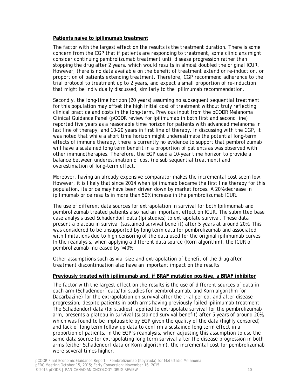#### **Patients naïve to ipilimumab treatment**

The factor with the largest effect on the results is the treatment duration. There is some concern from the CGP that if patients are responding to treatment, some clinicians might consider continuing pembrolizumab treatment until disease progression rather than stopping the drug after 2 years, which would results in almost doubled the original ICUR. However, there is no data available on the benefit of treatment extend or re-induction, or proportion of patients extending treatment. Therefore, CGP recommend adherence to the trial protocol to treatment up to 2 years, and expect a small proportion of re-induction that might be individually discussed, similarly to the ipilimumab recommendation.

Secondly, the long-time horizon (20 years) assuming no subsequent sequential treatment for this population may offset the high initial cost of treatment without truly reflecting clinical practice and costs in the long-term. Previous input from the pCODR Melanoma Clinical Guidance Panel (pCODR review for Ipilimumab in both first and second line) reported five years as a reasonable time horizon for patients with advanced melanoma in last line of therapy, and 10-20 years in first line of therapy. In discussing with the CGP, it was noted that while a short time horizon might underestimate the potential long-term effects of immune therapy, there is currently no evidence to support that pembrolizumab will have a sustained long term benefit in a proportion of patients as was observed with other immunotherapies. Therefore, the EGP used a 10-year time horizon to provide a balance between underestimation of cost (no sub sequential treatment) and overestimation of long-term effect.

Moreover, having an already expensive comparator makes the incremental cost seem low. However, it is likely that since 2014 when ipilimumab became the first line therapy for this population, its price may have been driven down by market forces. A 20% decrease in ipilimumab price results in more than 50% increase in the pembrolizumab ICUR.

The use of different data sources for extrapolation in survival for both Ipilimumab and pembrolizumab treated patients also had an important effect on ICUR. The submitted base case analysis used Schadendorf data (Ipi studies) to extrapolate survival. These data present a plateau in survival (sustained survival benefit) after 5 years at around 20%. This was considered to be unsupported by long term data for pembrolizumab and associated with limitations due to high censoring of the data used for the original ipilimumab curves. In the reanalysis, when applying a different data source (Korn algorithm), the ICUR of pembrolizumab increased by >40%.

Other assumptions such as vial size and extrapolation of benefit of the drug after treatment discontinuation also have an important impact on the results.

#### **Previously treated with ipilimumab and, if BRAF mutation positive, a BRAF inhibitor**

The factor with the largest effect on the results is the use of different sources of data in each arm (Schadendorf data/Ipi studies for pembrolizumab, and Korn algorithm for Dacarbazine) for the extrapolation on survival after the trial period, and after disease progression, despite patients in both arms having previously failed ipilimumab treatment. The Schadendorf data (Ipi studies), applied to extrapolate survival for the pembrolizumab arm, presents a plateau in survival (sustained survival benefit) after 5 years of around 20%, which was found to be implausible by EGP given the quality of the data (highly censored) and lack of long term follow up data to confirm a sustained long term effect in a proportion of patients. In the EGP's reanalysis, when adjusting this assumption to use the same data source for extrapolating long term survival after the disease progression in both arms (either Schadendorf data or Korn algorithm), the incremental cost for pembrolizumab were several times higher.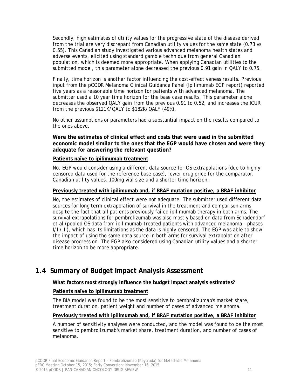Secondly, high estimates of utility values for the progressive state of the disease derived from the trial are very discrepant from Canadian utility values for the same state (0.73 vs 0.55). This Canadian study investigated various advanced melanoma health states and adverse events, elicited using standard gamble technique from general Canadian population, which is deemed more appropriate. When applying Canadian utilities to the submitted model, this parameter alone decreased the previous 0.91 gain in QALY to 0.75.

Finally, time horizon is another factor influencing the cost-effectiveness results. Previous input from the pCODR Melanoma Clinical Guidance Panel (Ipilimumab EGP report) reported five years as a reasonable time horizon for patients with advanced melanoma. The submitter used a 10 year time horizon for the base case results. This parameter alone decreases the observed QALY gain from the previous 0.91 to 0.52, and increases the ICUR from the previous \$121K/QALY to \$182K/QALY (49%).

No other assumptions or parameters had a substantial impact on the results compared to the ones above.

**Were the estimates of clinical effect and costs that were used in the submitted economic model similar to the ones that the EGP would have chosen and were they adequate for answering the relevant question?**

#### **Patients naïve to ipilimumab treatment**

No. EGP would consider using a different data source for OS extrapolations (due to highly censored data used for the reference base case), lower drug price for the comparator, Canadian utility values, 100mg vial size and a shorter time horizon.

#### **Previously treated with ipilimumab and, if BRAF mutation positive, a BRAF inhibitor**

No, the estimates of clinical effect were not adequate. The submitter used different data sources for long term extrapolation of survival in the treatment and comparison arms despite the fact that all patients previously failed ipilimumab therapy in both arms. The survival extrapolations for pembrolizumab was also mostly based on data from Schadendorf et al (pooled OS data from ipilimumab-treated patients with advanced melanoma - phases I/II/III), which has its limitations as the data is highly censored. The EGP was able to show the impact of using the same data source in both arms for survival extrapolation after disease progression. The EGP also considered using Canadian utility values and a shorter time horizon to be more appropriate.

## **1.4 Summary of Budget Impact Analysis Assessment**

#### **What factors most strongly influence the budget impact analysis estimates?**

#### **Patients naïve to ipilimumab treatment**

The BIA model was found to be the most sensitive to pembrolizumab's market share, treatment duration, patient weight and number of cases of advanced melanoma.

#### **Previously treated with ipilimumab and, if BRAF mutation positive, a BRAF inhibitor**

A number of sensitivity analyses were conducted, and the model was found to be the most sensitive to pembrolizumab's market share, treatment duration, and number of cases of melanoma.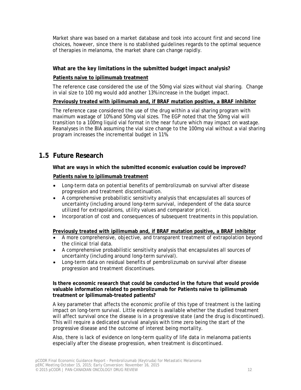Market share was based on a market database and took into account first and second line choices, however, since there is no stablished guidelines regards to the optimal sequence of therapies in melanoma, the market share can change rapidly.

#### **What are the key limitations in the submitted budget impact analysis?**

#### **Patients naïve to ipilimumab treatment**

The reference case considered the use of the 50mg vial sizes without vial sharing. Change in vial size to 100 mg would add another 13% increase in the budget impact.

#### **Previously treated with ipilimumab and, if BRAF mutation positive, a BRAF inhibitor**

The reference case considered the use of the drug within a vial sharing program with maximum wastage of 10% and 50mg vial sizes. The EGP noted that the 50mg vial will transition to a 100mg liquid vial format in the near future which may impact on wastage. Reanalyses in the BIA assuming the vial size change to the 100mg vial without a vial sharing program increases the incremental budget in 11%.

### **1.5 Future Research**

#### **What are ways in which the submitted economic evaluation could be improved?**

#### **Patients naïve to ipilimumab treatment**

- Long-term data on potential benefits of pembrolizumab on survival after disease progression and treatment discontinuation.
- A comprehensive probabilistic sensitivity analysis that encapsulates all sources of uncertainty (including around long-term survival, independent of the data source utilized for extrapolations, utility values and comparator price).
- Incorporation of cost and consequences of subsequent treatments in this population.

#### **Previously treated with ipilimumab and, if BRAF mutation positive, a BRAF inhibitor**

- A more comprehensive, objective, and transparent treatment of extrapolation beyond the clinical trial data.
- A comprehensive probabilistic sensitivity analysis that encapsulates all sources of uncertainty (including around long-term survival).
- Long-term data on residual benefits of pembrolizumab on survival after disease progression and treatment discontinues.

#### **Is there economic research that could be conducted in the future that would provide valuable information related to pembrolizumab for Patients naïve to ipilimumab treatment or Ipilimumab-treated patients?**

A key parameter that affects the economic profile of this type of treatment is the lasting impact on long-term survival. Little evidence is available whether the studied treatment will affect survival once the disease is in a progressive state (and the drug is discontinued). This will require a dedicated survival analysis with time zero being the start of the progressive disease and the outcome of interest being mortality.

Also, there is lack of evidence on long-term quality of life data in melanoma patients especially after the disease progression, when treatment is discontinued.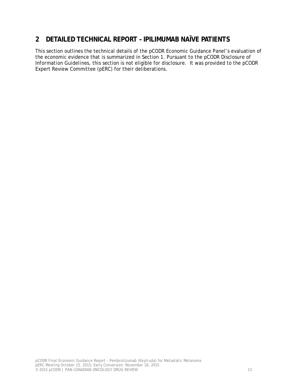## **2 DETAILED TECHNICAL REPORT – IPILIMUMAB NAÏVE PATIENTS**

This section outlines the technical details of the pCODR Economic Guidance Panel's evaluation of the economic evidence that is summarized in Section 1. Pursuant to the *pCODR Disclosure of Information Guidelines*, this section is not eligible for disclosure. It was provided to the pCODR Expert Review Committee (pERC) for their deliberations.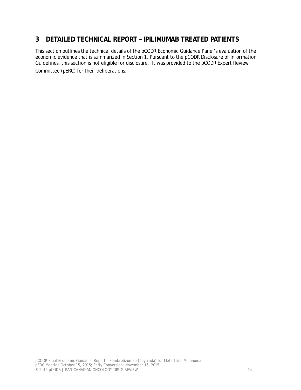## **3 DETAILED TECHNICAL REPORT – IPILIMUMAB TREATED PATIENTS**

This section outlines the technical details of the pCODR Economic Guidance Panel's evaluation of the economic evidence that is summarized in Section 1. Pursuant to the *pCODR Disclosure of Information Guidelines*, this section is not eligible for disclosure. It was provided to the pCODR Expert Review Committee (pERC) for their deliberations.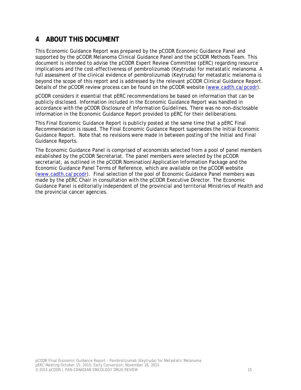## **4 ABOUT THIS DOCUMENT**

This Economic Guidance Report was prepared by the pCODR Economic Guidance Panel and supported by the pCODR Melanoma Clinical Guidance Panel and the pCODR Methods Team. This document is intended to advise the pCODR Expert Review Committee (pERC) regarding resource implications and the cost-effectiveness of pembrolizumab (Keytruda) for metastatic melanoma. A full assessment of the clinical evidence of pembrolizumab (Keytruda) for metastatic melanoma is beyond the scope of this report and is addressed by the relevant pCODR Clinical Guidance Report. Details of the pCODR review process can be found on the pCODR website (www.cadth.ca/pcodr).

pCODR considers it essential that pERC recommendations be based on information that can be publicly disclosed. Information included in the Economic Guidance Report was handled in accordance with the *pCODR Disclosure of Information Guidelines*. There was no non-disclosable information in the Economic Guidance Report provided to pERC for their deliberations.

This Final Economic Guidance Report is publicly posted at the same time that a pERC Final Recommendation is issued. The Final Economic Guidance Report supersedes the Initial Economic Guidance Report. Note that no revisions were made in between posting of the Initial and Final Guidance Reports.

The Economic Guidance Panel is comprised of economists selected from a pool of panel members established by the pCODR Secretariat. The panel members were selected by the pCODR secretariat, as outlined in the pCODR Nomination/Application Information Package and the Economic Guidance Panel Terms of Reference, which are available on the pCODR website (www.cadth.ca/pcodr). Final selection of the pool of Economic Guidance Panel members was made by the pERC Chair in consultation with the pCODR Executive Director. The Economic Guidance Panel is editorially independent of the provincial and territorial Ministries of Health and the provincial cancer agencies.